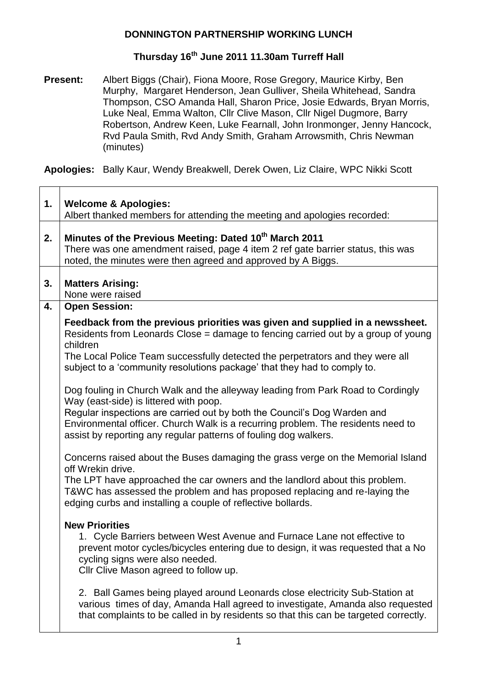# **Thursday 16th June 2011 11.30am Turreff Hall**

**Present:** Albert Biggs (Chair), Fiona Moore, Rose Gregory, Maurice Kirby, Ben Murphy, Margaret Henderson, Jean Gulliver, Sheila Whitehead, Sandra Thompson, CSO Amanda Hall, Sharon Price, Josie Edwards, Bryan Morris, Luke Neal, Emma Walton, Cllr Clive Mason, Cllr Nigel Dugmore, Barry Robertson, Andrew Keen, Luke Fearnall, John Ironmonger, Jenny Hancock, Rvd Paula Smith, Rvd Andy Smith, Graham Arrowsmith, Chris Newman (minutes)

**Apologies:** Bally Kaur, Wendy Breakwell, Derek Owen, Liz Claire, WPC Nikki Scott

| $\mathbf 1$ . | <b>Welcome &amp; Apologies:</b><br>Albert thanked members for attending the meeting and apologies recorded:                                                                                                                                                     |
|---------------|-----------------------------------------------------------------------------------------------------------------------------------------------------------------------------------------------------------------------------------------------------------------|
| 2.            | Minutes of the Previous Meeting: Dated 10 <sup>th</sup> March 2011<br>There was one amendment raised, page 4 item 2 ref gate barrier status, this was<br>noted, the minutes were then agreed and approved by A Biggs.                                           |
| 3.            | <b>Matters Arising:</b><br>None were raised                                                                                                                                                                                                                     |
| 4.            | <b>Open Session:</b>                                                                                                                                                                                                                                            |
|               | Feedback from the previous priorities was given and supplied in a newssheet.<br>Residents from Leonards Close = damage to fencing carried out by a group of young<br>children<br>The Local Police Team successfully detected the perpetrators and they were all |
|               | subject to a 'community resolutions package' that they had to comply to.                                                                                                                                                                                        |
|               | Dog fouling in Church Walk and the alleyway leading from Park Road to Cordingly<br>Way (east-side) is littered with poop.                                                                                                                                       |
|               | Regular inspections are carried out by both the Council's Dog Warden and<br>Environmental officer. Church Walk is a recurring problem. The residents need to<br>assist by reporting any regular patterns of fouling dog walkers.                                |
|               | Concerns raised about the Buses damaging the grass verge on the Memorial Island<br>off Wrekin drive.                                                                                                                                                            |
|               | The LPT have approached the car owners and the landlord about this problem.<br>T&WC has assessed the problem and has proposed replacing and re-laying the<br>edging curbs and installing a couple of reflective bollards.                                       |
|               | <b>New Priorities</b><br>1. Cycle Barriers between West Avenue and Furnace Lane not effective to                                                                                                                                                                |
|               | prevent motor cycles/bicycles entering due to design, it was requested that a No<br>cycling signs were also needed.<br>Cllr Clive Mason agreed to follow up.                                                                                                    |
|               | 2. Ball Games being played around Leonards close electricity Sub-Station at<br>various times of day, Amanda Hall agreed to investigate, Amanda also requested<br>that complaints to be called in by residents so that this can be targeted correctly.           |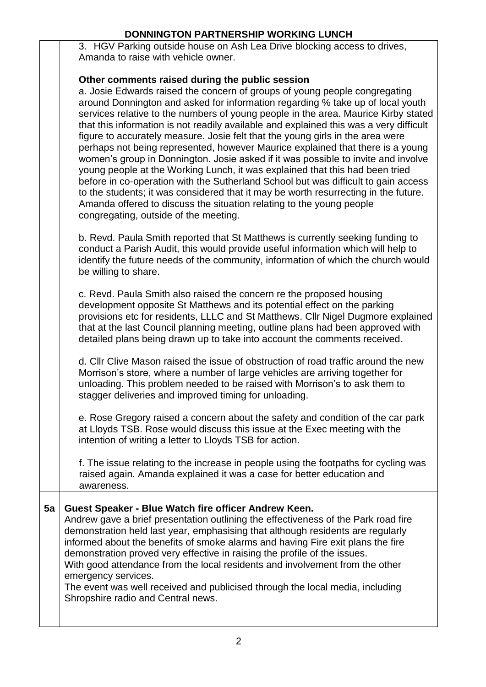3. HGV Parking outside house on Ash Lea Drive blocking access to drives, Amanda to raise with vehicle owner.

#### **Other comments raised during the public session**

a. Josie Edwards raised the concern of groups of young people congregating around Donnington and asked for information regarding % take up of local youth services relative to the numbers of young people in the area. Maurice Kirby stated that this information is not readily available and explained this was a very difficult figure to accurately measure. Josie felt that the young girls in the area were perhaps not being represented, however Maurice explained that there is a young women"s group in Donnington. Josie asked if it was possible to invite and involve young people at the Working Lunch, it was explained that this had been tried before in co-operation with the Sutherland School but was difficult to gain access to the students; it was considered that it may be worth resurrecting in the future. Amanda offered to discuss the situation relating to the young people congregating, outside of the meeting.

b. Revd. Paula Smith reported that St Matthews is currently seeking funding to conduct a Parish Audit, this would provide useful information which will help to identify the future needs of the community, information of which the church would be willing to share.

c. Revd. Paula Smith also raised the concern re the proposed housing development opposite St Matthews and its potential effect on the parking provisions etc for residents, LLLC and St Matthews. Cllr Nigel Dugmore explained that at the last Council planning meeting, outline plans had been approved with detailed plans being drawn up to take into account the comments received.

d. Cllr Clive Mason raised the issue of obstruction of road traffic around the new Morrison's store, where a number of large vehicles are arriving together for unloading. This problem needed to be raised with Morrison"s to ask them to stagger deliveries and improved timing for unloading.

e. Rose Gregory raised a concern about the safety and condition of the car park at Lloyds TSB. Rose would discuss this issue at the Exec meeting with the intention of writing a letter to Lloyds TSB for action.

f. The issue relating to the increase in people using the footpaths for cycling was raised again. Amanda explained it was a case for better education and awareness.

#### **5a Guest Speaker - Blue Watch fire officer Andrew Keen.**

Andrew gave a brief presentation outlining the effectiveness of the Park road fire demonstration held last year, emphasising that although residents are regularly informed about the benefits of smoke alarms and having Fire exit plans the fire demonstration proved very effective in raising the profile of the issues. With good attendance from the local residents and involvement from the other emergency services.

The event was well received and publicised through the local media, including Shropshire radio and Central news.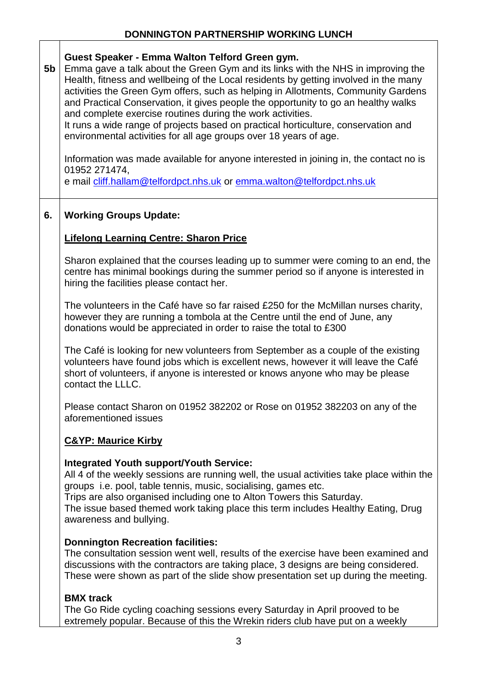**5b Guest Speaker - Emma Walton Telford Green gym.** Emma gave a talk about the Green Gym and its links with the NHS in improving the Health, fitness and wellbeing of the Local residents by getting involved in the many activities the Green Gym offers, such as helping in Allotments, Community Gardens and Practical Conservation, it gives people the opportunity to go an healthy walks and complete exercise routines during the work activities. It runs a wide range of projects based on practical horticulture, conservation and environmental activities for all age groups over 18 years of age. Information was made available for anyone interested in joining in, the contact no is 01952 271474, e mail [cliff.hallam@telfordpct.nhs.uk](mailto:cliff.hallam@telfordpct.nhs.uk) or [emma.walton@telfordpct.nhs.uk](mailto:emma.walton@telfordpct.nhs.uk) **6. Working Groups Update: Lifelong Learning Centre: Sharon Price** Sharon explained that the courses leading up to summer were coming to an end, the centre has minimal bookings during the summer period so if anyone is interested in hiring the facilities please contact her. The volunteers in the Café have so far raised £250 for the McMillan nurses charity, however they are running a tombola at the Centre until the end of June, any donations would be appreciated in order to raise the total to £300 The Café is looking for new volunteers from September as a couple of the existing volunteers have found jobs which is excellent news, however it will leave the Café short of volunteers, if anyone is interested or knows anyone who may be please contact the LLLC. Please contact Sharon on 01952 382202 or Rose on 01952 382203 on any of the aforementioned issues **C&YP: Maurice Kirby Integrated Youth support/Youth Service:** All 4 of the weekly sessions are running well, the usual activities take place within the groups i.e. pool, table tennis, music, socialising, games etc. Trips are also organised including one to Alton Towers this Saturday. The issue based themed work taking place this term includes Healthy Eating, Drug awareness and bullying. **Donnington Recreation facilities:** The consultation session went well, results of the exercise have been examined and discussions with the contractors are taking place, 3 designs are being considered. These were shown as part of the slide show presentation set up during the meeting. **BMX track** The Go Ride cycling coaching sessions every Saturday in April prooved to be extremely popular. Because of this the Wrekin riders club have put on a weekly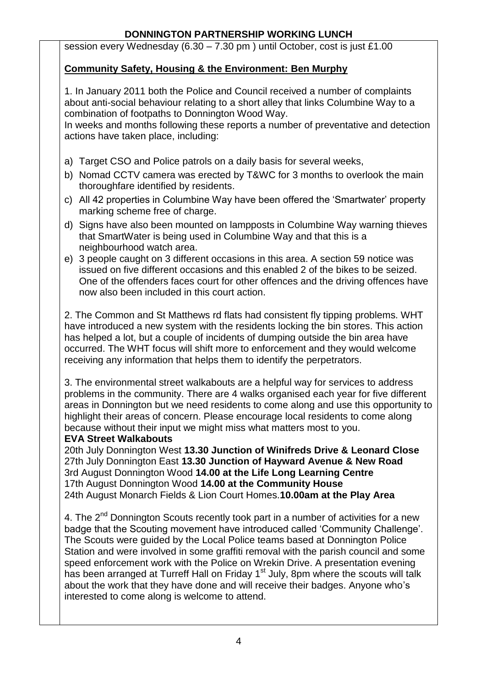session every Wednesday (6.30 – 7.30 pm ) until October, cost is just £1.00

## **Community Safety, Housing & the Environment: Ben Murphy**

1. In January 2011 both the Police and Council received a number of complaints about anti-social behaviour relating to a short alley that links Columbine Way to a combination of footpaths to Donnington Wood Way.

In weeks and months following these reports a number of preventative and detection actions have taken place, including:

- a) Target CSO and Police patrols on a daily basis for several weeks,
- b) Nomad CCTV camera was erected by T&WC for 3 months to overlook the main thoroughfare identified by residents.
- c) All 42 properties in Columbine Way have been offered the "Smartwater" property marking scheme free of charge.
- d) Signs have also been mounted on lampposts in Columbine Way warning thieves that SmartWater is being used in Columbine Way and that this is a neighbourhood watch area.
- e) 3 people caught on 3 different occasions in this area. A section 59 notice was issued on five different occasions and this enabled 2 of the bikes to be seized. One of the offenders faces court for other offences and the driving offences have now also been included in this court action.

2. The Common and St Matthews rd flats had consistent fly tipping problems. WHT have introduced a new system with the residents locking the bin stores. This action has helped a lot, but a couple of incidents of dumping outside the bin area have occurred. The WHT focus will shift more to enforcement and they would welcome receiving any information that helps them to identify the perpetrators.

3. The environmental street walkabouts are a helpful way for services to address problems in the community. There are 4 walks organised each year for five different areas in Donnington but we need residents to come along and use this opportunity to highlight their areas of concern. Please encourage local residents to come along because without their input we might miss what matters most to you.

#### **EVA Street Walkabouts**

20th July Donnington West **13.30 Junction of Winifreds Drive & Leonard Close** 27th July Donnington East **13.30 Junction of Hayward Avenue & New Road** 3rd August Donnington Wood **14.00 at the Life Long Learning Centre** 17th August Donnington Wood **14.00 at the Community House** 24th August Monarch Fields & Lion Court Homes.**10.00am at the Play Area**

4. The 2<sup>nd</sup> Donnington Scouts recently took part in a number of activities for a new badge that the Scouting movement have introduced called "Community Challenge". The Scouts were guided by the Local Police teams based at Donnington Police Station and were involved in some graffiti removal with the parish council and some speed enforcement work with the Police on Wrekin Drive. A presentation evening has been arranged at Turreff Hall on Friday 1<sup>st</sup> July, 8pm where the scouts will talk about the work that they have done and will receive their badges. Anyone who"s interested to come along is welcome to attend.